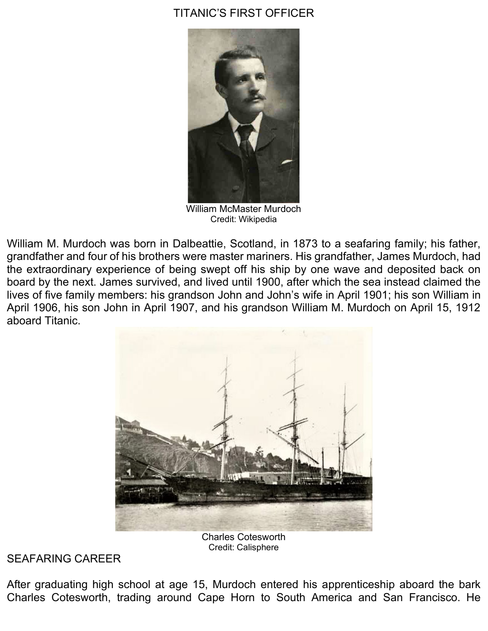## TITANIC'S FIRST OFFICER



William McMaster Murdoch Credit: Wikipedia

William M. Murdoch was born in Dalbeattie, Scotland, in 1873 to a seafaring family; his father, grandfather and four of his brothers were master mariners. His grandfather, James Murdoch, had the extraordinary experience of being swept off his ship by one wave and deposited back on board by the next. James survived, and lived until 1900, after which the sea instead claimed the lives of five family members: his grandson John and John's wife in April 1901; his son William in April 1906, his son John in April 1907, and his grandson William M. Murdoch on April 15, 1912 aboard Titanic.



Charles Cotesworth Credit: Calisphere

## SEAFARING CAREER

After graduating high school at age 15, Murdoch entered his apprenticeship aboard the bark Charles Cotesworth, trading around Cape Horn to South America and San Francisco. He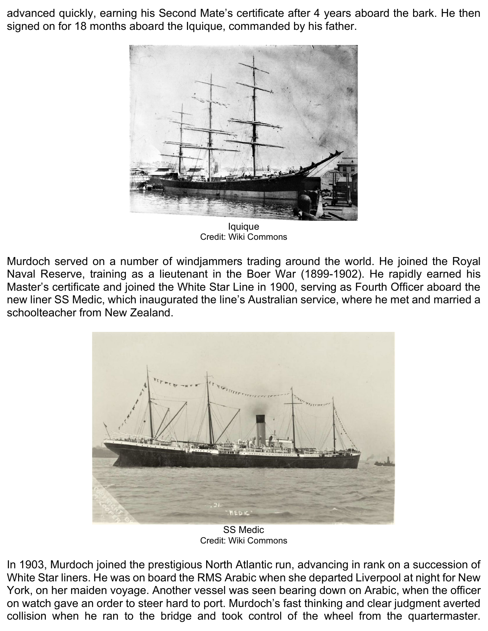advanced quickly, earning his Second Mate's certificate after 4 years aboard the bark. He then signed on for 18 months aboard the Iquique, commanded by his father.



Iquique Credit: Wiki Commons

Murdoch served on a number of windjammers trading around the world. He joined the Royal Naval Reserve, training as a lieutenant in the Boer War (1899-1902). He rapidly earned his Master's certificate and joined the White Star Line in 1900, serving as Fourth Officer aboard the new liner SS Medic, which inaugurated the line's Australian service, where he met and married a schoolteacher from New Zealand.



SS Medic Credit: Wiki Commons

In 1903, Murdoch joined the prestigious North Atlantic run, advancing in rank on a succession of White Star liners. He was on board the RMS Arabic when she departed Liverpool at night for New York, on her maiden voyage. Another vessel was seen bearing down on Arabic, when the officer on watch gave an order to steer hard to port. Murdoch's fast thinking and clear judgment averted collision when he ran to the bridge and took control of the wheel from the quartermaster.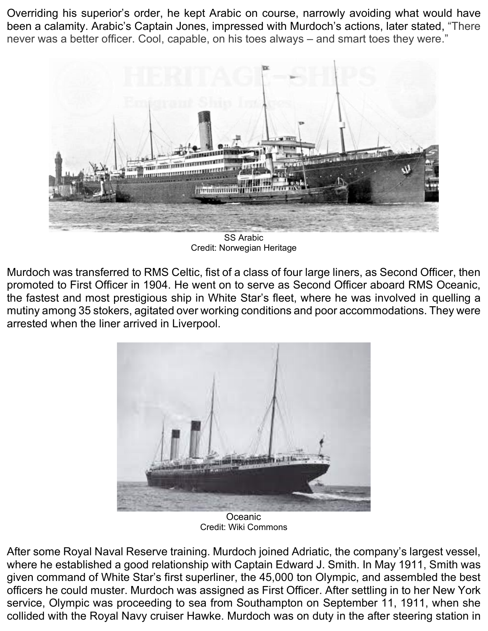Overriding his superior's order, he kept Arabic on course, narrowly avoiding what would have been a calamity. Arabic's Captain Jones, impressed with Murdoch's actions, later stated, "There never was a better officer. Cool, capable, on his toes always – and smart toes they were."



Credit: Norwegian Heritage

Murdoch was transferred to RMS Celtic, fist of a class of four large liners, as Second Officer, then promoted to First Officer in 1904. He went on to serve as Second Officer aboard RMS Oceanic, the fastest and most prestigious ship in White Star's fleet, where he was involved in quelling a mutiny among 35 stokers, agitated over working conditions and poor accommodations. They were arrested when the liner arrived in Liverpool.



**Oceanic** Credit: Wiki Commons

After some Royal Naval Reserve training. Murdoch joined Adriatic, the company's largest vessel, where he established a good relationship with Captain Edward J. Smith. In May 1911, Smith was given command of White Star's first superliner, the 45,000 ton Olympic, and assembled the best officers he could muster. Murdoch was assigned as First Officer. After settling in to her New York service, Olympic was proceeding to sea from Southampton on September 11, 1911, when she collided with the Royal Navy cruiser Hawke. Murdoch was on duty in the after steering station in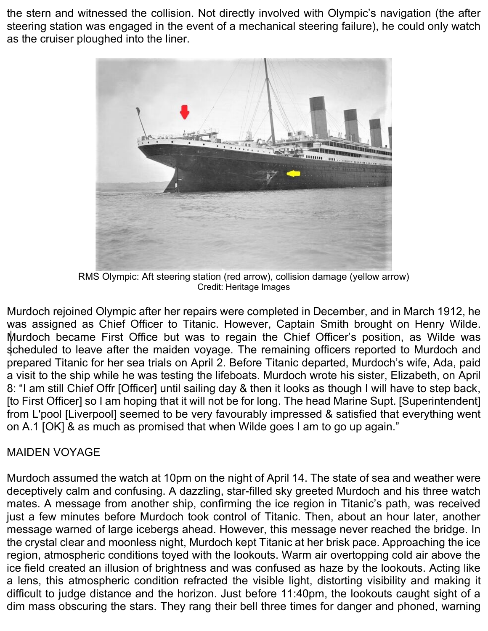the stern and witnessed the collision. Not directly involved with Olympic's navigation (the after steering station was engaged in the event of a mechanical steering failure), he could only watch as the cruiser ploughed into the liner.



RMS Olympic: Aft steering station (red arrow), collision damage (yellow arrow) Credit: Heritage Images

Murdoch rejoined Olympic after her repairs were completed in December, and in March 1912, he was assigned as Chief Officer to Titanic. However, Captain Smith brought on Henry Wilde. Murdoch became First Office but was to regain the Chief Officer's position, as Wilde was scheduled to leave after the maiden voyage. The remaining officers reported to Murdoch and prepared Titanic for her sea trials on April 2. Before Titanic departed, Murdoch's wife, Ada, paid a visit to the ship while he was testing the lifeboats. Murdoch wrote his sister, Elizabeth, on April 8: "I am still Chief Offr [Officer] until sailing day & then it looks as though I will have to step back, [to First Officer] so I am hoping that it will not be for long. The head Marine Supt. [Superintendent] from L'pool [Liverpool] seemed to be very favourably impressed & satisfied that everything went on A.1 [OK] & as much as promised that when Wilde goes I am to go up again."

## MAIDEN VOYAGE

Murdoch assumed the watch at 10pm on the night of April 14. The state of sea and weather were deceptively calm and confusing. A dazzling, star-filled sky greeted Murdoch and his three watch mates. A message from another ship, confirming the ice region in Titanic's path, was received just a few minutes before Murdoch took control of Titanic. Then, about an hour later, another message warned of large icebergs ahead. However, this message never reached the bridge. In the crystal clear and moonless night, Murdoch kept Titanic at her brisk pace. Approaching the ice region, atmospheric conditions toyed with the lookouts. Warm air overtopping cold air above the ice field created an illusion of brightness and was confused as haze by the lookouts. Acting like a lens, this atmospheric condition refracted the visible light, distorting visibility and making it difficult to judge distance and the horizon. Just before 11:40pm, the lookouts caught sight of a dim mass obscuring the stars. They rang their bell three times for danger and phoned, warning